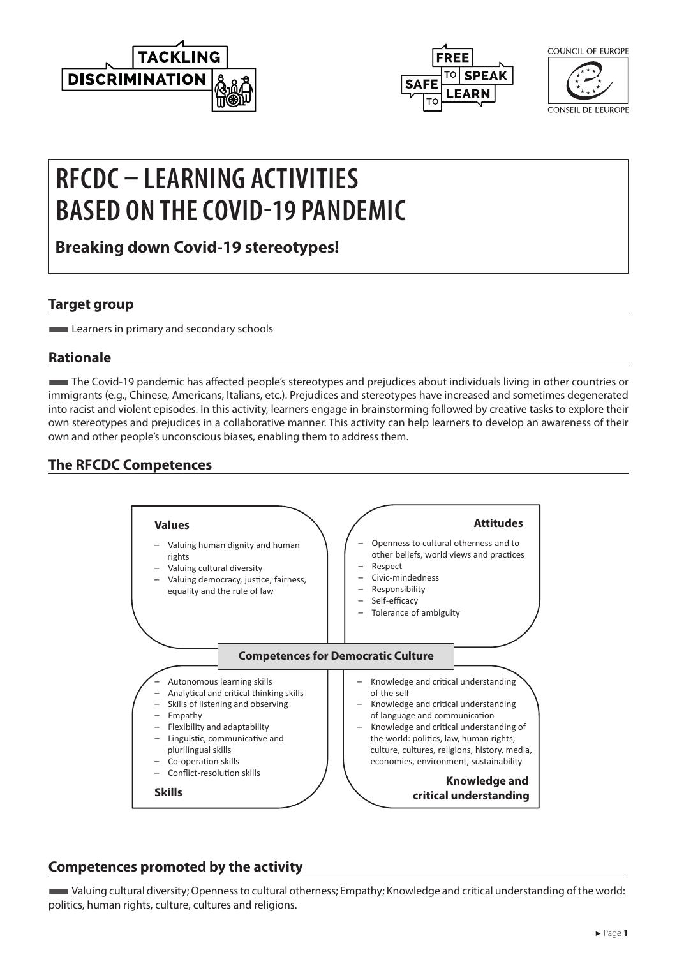



COUNCIL OF FUROPE

CONSEIL DE L'EUROPE

# **RFCDC – LEARNING ACTIVITIES BASED ON THE COVID-19 PANDEMIC**

**Breaking down Covid-19 stereotypes!**

#### **Target group**

**Learners in primary and secondary schools** 

### **Rationale**

■The Covid-19 pandemic has affected people's stereotypes and prejudices about individuals living in other countries or immigrants (e.g., Chinese, Americans, Italians, etc.). Prejudices and stereotypes have increased and sometimes degenerated into racist and violent episodes. In this activity, learners engage in brainstorming followed by creative tasks to explore their own stereotypes and prejudices in a collaborative manner. This activity can help learners to develop an awareness of their own and other people's unconscious biases, enabling them to address them.

## **The RFCDC Competences**



#### **Competences promoted by the activity**

■Valuing cultural diversity; Openness to cultural otherness; Empathy; Knowledge and critical understanding of the world: politics, human rights, culture, cultures and religions.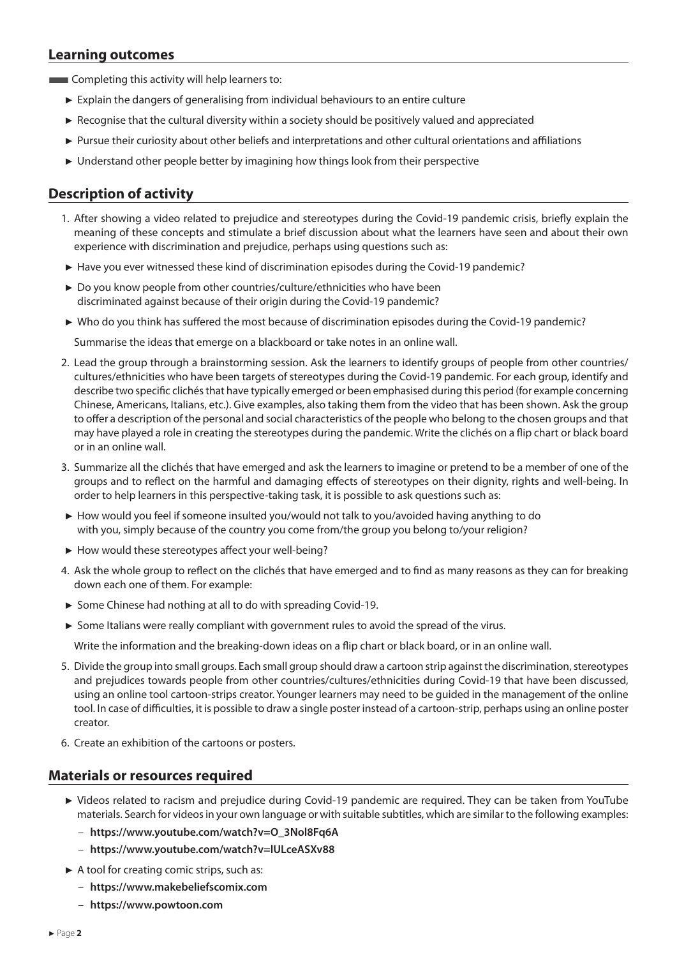#### **Learning outcomes**

**EXECOMPLER** Completing this activity will help learners to:

- ► Explain the dangers of generalising from individual behaviours to an entire culture
- ► Recognise that the cultural diversity within a society should be positively valued and appreciated
- ► Pursue their curiosity about other beliefs and interpretations and other cultural orientations and affiliations
- ► Understand other people better by imagining how things look from their perspective

#### **Description of activity**

- 1. After showing a video related to prejudice and stereotypes during the Covid-19 pandemic crisis, briefly explain the meaning of these concepts and stimulate a brief discussion about what the learners have seen and about their own experience with discrimination and prejudice, perhaps using questions such as:
- ► Have you ever witnessed these kind of discrimination episodes during the Covid-19 pandemic?
- ► Do you know people from other countries/culture/ethnicities who have been discriminated against because of their origin during the Covid-19 pandemic?
- ► Who do you think has suffered the most because of discrimination episodes during the Covid-19 pandemic?

Summarise the ideas that emerge on a blackboard or take notes in an online wall.

- 2. Lead the group through a brainstorming session. Ask the learners to identify groups of people from other countries/ cultures/ethnicities who have been targets of stereotypes during the Covid-19 pandemic. For each group, identify and describe two specific clichés that have typically emerged or been emphasised during this period (for example concerning Chinese, Americans, Italians, etc.). Give examples, also taking them from the video that has been shown. Ask the group to offer a description of the personal and social characteristics of the people who belong to the chosen groups and that may have played a role in creating the stereotypes during the pandemic. Write the clichés on a flip chart or black board or in an online wall.
- 3. Summarize all the clichés that have emerged and ask the learners to imagine or pretend to be a member of one of the groups and to reflect on the harmful and damaging effects of stereotypes on their dignity, rights and well-being. In order to help learners in this perspective-taking task, it is possible to ask questions such as:
- ► How would you feel if someone insulted you/would not talk to you/avoided having anything to do with you, simply because of the country you come from/the group you belong to/your religion?
- ► How would these stereotypes affect your well-being?
- 4. Ask the whole group to reflect on the clichés that have emerged and to find as many reasons as they can for breaking down each one of them. For example:
- ► Some Chinese had nothing at all to do with spreading Covid-19.
- ► Some Italians were really compliant with government rules to avoid the spread of the virus.

Write the information and the breaking-down ideas on a flip chart or black board, or in an online wall.

- 5. Divide the group into small groups. Each small group should draw a cartoon strip against the discrimination, stereotypes and prejudices towards people from other countries/cultures/ethnicities during Covid-19 that have been discussed, using an online tool cartoon-strips creator. Younger learners may need to be guided in the management of the online tool. In case of difficulties, it is possible to draw a single poster instead of a cartoon-strip, perhaps using an online poster creator.
- 6. Create an exhibition of the cartoons or posters.

#### **Materials or resources required**

- ► Videos related to racism and prejudice during Covid-19 pandemic are required. They can be taken from YouTube materials. Search for videos in your own language or with suitable subtitles, which are similar to the following examples:
	- **[https://www.youtube.com/watch?v=O\\_3Nol8Fq6A](https://www.youtube.com/watch?v=O_3Nol8Fq6A )**
	- **<https://www.youtube.com/watch?v=lULceASXv88>**
- ► A tool for creating comic strips, such as:
	- **<https://www.makebeliefscomix.com>**
	- **<https://www.powtoon.com>**